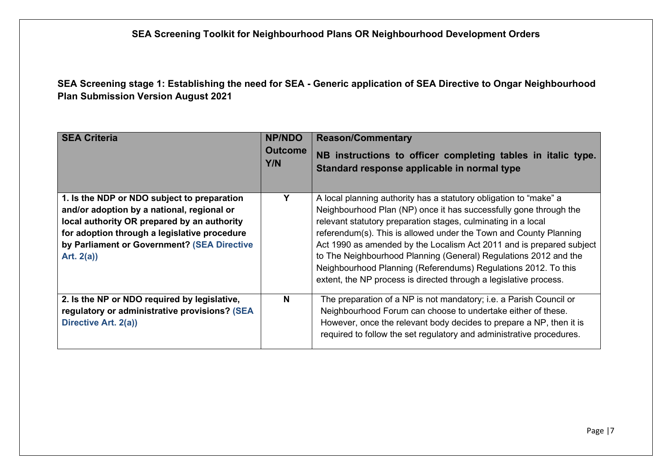**SEA Screening stage 1: Establishing the need for SEA - Generic application of SEA Directive to Ongar Neighbourhood Plan Submission Version August 2021**

| <b>SEA Criteria</b>                                                                                                                                                                                                                                    | <b>NP/NDO</b><br><b>Outcome</b><br>Y/N | <b>Reason/Commentary</b><br>NB instructions to officer completing tables in italic type.<br>Standard response applicable in normal type                                                                                                                                                                                                                                                                                                                                                                                                                         |
|--------------------------------------------------------------------------------------------------------------------------------------------------------------------------------------------------------------------------------------------------------|----------------------------------------|-----------------------------------------------------------------------------------------------------------------------------------------------------------------------------------------------------------------------------------------------------------------------------------------------------------------------------------------------------------------------------------------------------------------------------------------------------------------------------------------------------------------------------------------------------------------|
| 1. Is the NDP or NDO subject to preparation<br>and/or adoption by a national, regional or<br>local authority OR prepared by an authority<br>for adoption through a legislative procedure<br>by Parliament or Government? (SEA Directive<br>Art. $2(a)$ | Υ                                      | A local planning authority has a statutory obligation to "make" a<br>Neighbourhood Plan (NP) once it has successfully gone through the<br>relevant statutory preparation stages, culminating in a local<br>referendum(s). This is allowed under the Town and County Planning<br>Act 1990 as amended by the Localism Act 2011 and is prepared subject<br>to The Neighbourhood Planning (General) Regulations 2012 and the<br>Neighbourhood Planning (Referendums) Regulations 2012. To this<br>extent, the NP process is directed through a legislative process. |
| 2. Is the NP or NDO required by legislative,<br>regulatory or administrative provisions? (SEA<br>Directive Art. 2(a))                                                                                                                                  | N                                      | The preparation of a NP is not mandatory; i.e. a Parish Council or<br>Neighbourhood Forum can choose to undertake either of these.<br>However, once the relevant body decides to prepare a NP, then it is<br>required to follow the set regulatory and administrative procedures.                                                                                                                                                                                                                                                                               |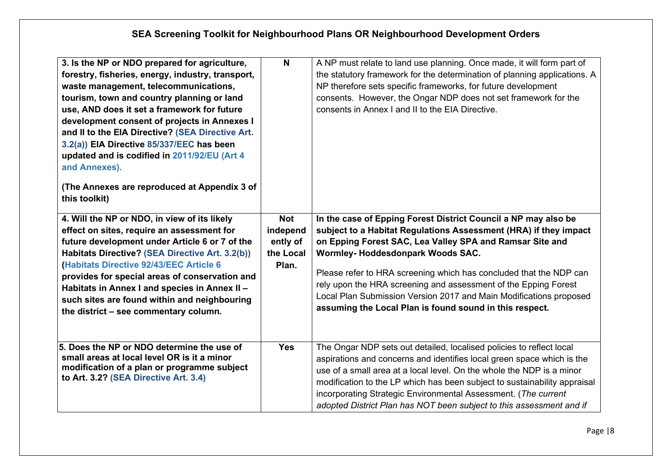| 3. Is the NP or NDO prepared for agriculture,<br>forestry, fisheries, energy, industry, transport,<br>waste management, telecommunications,<br>tourism, town and country planning or land<br>use, AND does it set a framework for future<br>development consent of projects in Annexes I<br>and II to the EIA Directive? (SEA Directive Art.<br>3.2(a)) EIA Directive 85/337/EEC has been<br>updated and is codified in 2011/92/EU (Art 4<br>and Annexes).<br>(The Annexes are reproduced at Appendix 3 of<br>this toolkit) | N                                                        | A NP must relate to land use planning. Once made, it will form part of<br>the statutory framework for the determination of planning applications. A<br>NP therefore sets specific frameworks, for future development<br>consents. However, the Ongar NDP does not set framework for the<br>consents in Annex I and II to the EIA Directive.                                                                                                                                                                  |
|-----------------------------------------------------------------------------------------------------------------------------------------------------------------------------------------------------------------------------------------------------------------------------------------------------------------------------------------------------------------------------------------------------------------------------------------------------------------------------------------------------------------------------|----------------------------------------------------------|--------------------------------------------------------------------------------------------------------------------------------------------------------------------------------------------------------------------------------------------------------------------------------------------------------------------------------------------------------------------------------------------------------------------------------------------------------------------------------------------------------------|
| 4. Will the NP or NDO, in view of its likely<br>effect on sites, require an assessment for<br>future development under Article 6 or 7 of the<br>Habitats Directive? (SEA Directive Art. 3.2(b))<br>(Habitats Directive 92/43/EEC Article 6<br>provides for special areas of conservation and<br>Habitats in Annex I and species in Annex II -<br>such sites are found within and neighbouring<br>the district - see commentary column.                                                                                      | <b>Not</b><br>independ<br>ently of<br>the Local<br>Plan. | In the case of Epping Forest District Council a NP may also be<br>subject to a Habitat Regulations Assessment (HRA) if they impact<br>on Epping Forest SAC, Lea Valley SPA and Ramsar Site and<br>Wormley-Hoddesdonpark Woods SAC.<br>Please refer to HRA screening which has concluded that the NDP can<br>rely upon the HRA screening and assessment of the Epping Forest<br>Local Plan Submission Version 2017 and Main Modifications proposed<br>assuming the Local Plan is found sound in this respect. |
| 5. Does the NP or NDO determine the use of<br>small areas at local level OR is it a minor<br>modification of a plan or programme subject<br>to Art. 3.2? (SEA Directive Art. 3.4)                                                                                                                                                                                                                                                                                                                                           | <b>Yes</b>                                               | The Ongar NDP sets out detailed, localised policies to reflect local<br>aspirations and concerns and identifies local green space which is the<br>use of a small area at a local level. On the whole the NDP is a minor<br>modification to the LP which has been subject to sustainability appraisal<br>incorporating Strategic Environmental Assessment. (The current<br>adopted District Plan has NOT been subject to this assessment and if                                                               |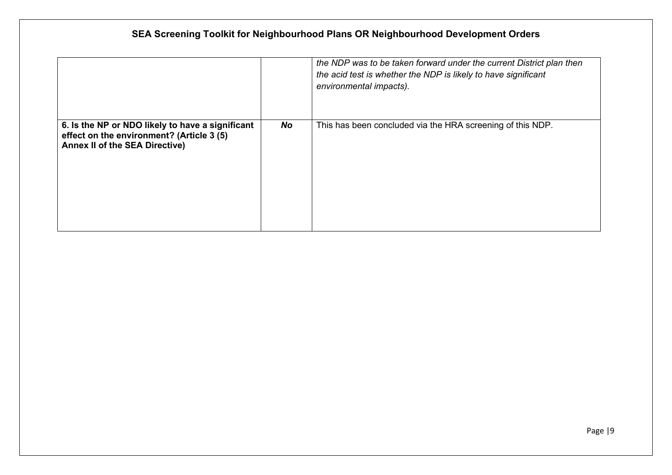|                                                                                                                                        |    | the NDP was to be taken forward under the current District plan then<br>the acid test is whether the NDP is likely to have significant<br>environmental impacts). |
|----------------------------------------------------------------------------------------------------------------------------------------|----|-------------------------------------------------------------------------------------------------------------------------------------------------------------------|
| 6. Is the NP or NDO likely to have a significant<br>effect on the environment? (Article 3 (5)<br><b>Annex II of the SEA Directive)</b> | No | This has been concluded via the HRA screening of this NDP.                                                                                                        |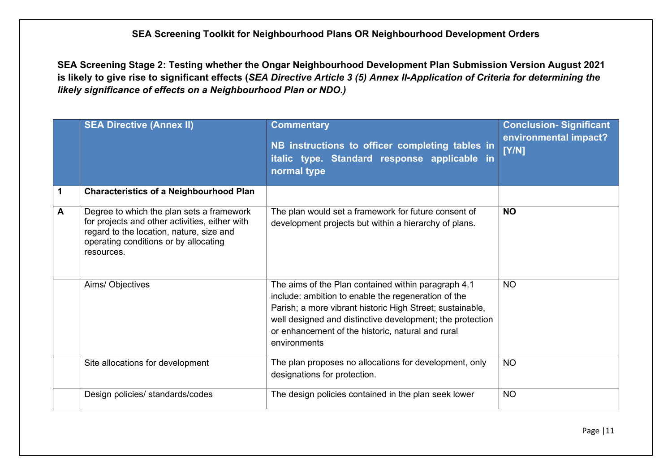**SEA Screening Stage 2: Testing whether the Ongar Neighbourhood Development Plan Submission Version August 2021 is likely to give rise to significant effects (***SEA Directive Article 3 (5) Annex II-Application of Criteria for determining the likely significance of effects on a Neighbourhood Plan or NDO.)* 

|   | <b>SEA Directive (Annex II)</b>                                                                                                                                                                | <b>Commentary</b><br>NB instructions to officer completing tables in<br>italic type. Standard response applicable in<br>normal type                                                                                                                                                                       | <b>Conclusion-Significant</b><br>environmental impact?<br>[Y/N] |
|---|------------------------------------------------------------------------------------------------------------------------------------------------------------------------------------------------|-----------------------------------------------------------------------------------------------------------------------------------------------------------------------------------------------------------------------------------------------------------------------------------------------------------|-----------------------------------------------------------------|
| 1 | <b>Characteristics of a Neighbourhood Plan</b>                                                                                                                                                 |                                                                                                                                                                                                                                                                                                           |                                                                 |
| A | Degree to which the plan sets a framework<br>for projects and other activities, either with<br>regard to the location, nature, size and<br>operating conditions or by allocating<br>resources. | The plan would set a framework for future consent of<br>development projects but within a hierarchy of plans.                                                                                                                                                                                             | <b>NO</b>                                                       |
|   | Aims/ Objectives                                                                                                                                                                               | The aims of the Plan contained within paragraph 4.1<br>include: ambition to enable the regeneration of the<br>Parish; a more vibrant historic High Street; sustainable,<br>well designed and distinctive development; the protection<br>or enhancement of the historic, natural and rural<br>environments | <b>NO</b>                                                       |
|   | Site allocations for development                                                                                                                                                               | The plan proposes no allocations for development, only<br>designations for protection.                                                                                                                                                                                                                    | <b>NO</b>                                                       |
|   | Design policies/ standards/codes                                                                                                                                                               | The design policies contained in the plan seek lower                                                                                                                                                                                                                                                      | <b>NO</b>                                                       |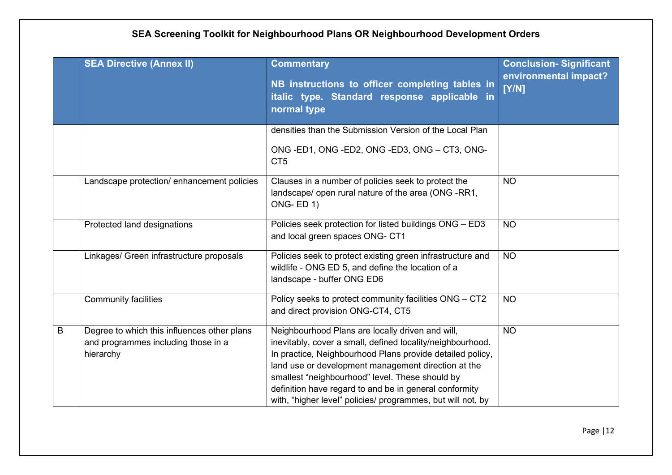|             | <b>SEA Directive (Annex II)</b>                                                                 | <b>Commentary</b><br>NB instructions to officer completing tables in<br>italic type. Standard response applicable in<br>normal type                                                                                                                                                                                                                                                                            | <b>Conclusion-Significant</b><br>environmental impact?<br>[Y/N] |
|-------------|-------------------------------------------------------------------------------------------------|----------------------------------------------------------------------------------------------------------------------------------------------------------------------------------------------------------------------------------------------------------------------------------------------------------------------------------------------------------------------------------------------------------------|-----------------------------------------------------------------|
|             |                                                                                                 | densities than the Submission Version of the Local Plan<br>ONG-ED1, ONG-ED2, ONG-ED3, ONG-CT3, ONG-<br>CT <sub>5</sub>                                                                                                                                                                                                                                                                                         |                                                                 |
|             | Landscape protection/ enhancement policies                                                      | Clauses in a number of policies seek to protect the<br>landscape/ open rural nature of the area (ONG -RR1,<br>ONG-ED 1)                                                                                                                                                                                                                                                                                        | <b>NO</b>                                                       |
|             | Protected land designations                                                                     | Policies seek protection for listed buildings ONG - ED3<br>and local green spaces ONG- CT1                                                                                                                                                                                                                                                                                                                     | <b>NO</b>                                                       |
|             | Linkages/ Green infrastructure proposals                                                        | Policies seek to protect existing green infrastructure and<br>wildlife - ONG ED 5, and define the location of a<br>landscape - buffer ONG ED6                                                                                                                                                                                                                                                                  | <b>NO</b>                                                       |
|             | <b>Community facilities</b>                                                                     | Policy seeks to protect community facilities ONG - CT2<br>and direct provision ONG-CT4, CT5                                                                                                                                                                                                                                                                                                                    | <b>NO</b>                                                       |
| $\mathsf B$ | Degree to which this influences other plans<br>and programmes including those in a<br>hierarchy | Neighbourhood Plans are locally driven and will,<br>inevitably, cover a small, defined locality/neighbourhood.<br>In practice, Neighbourhood Plans provide detailed policy,<br>land use or development management direction at the<br>smallest "neighbourhood" level. These should by<br>definition have regard to and be in general conformity<br>with, "higher level" policies/ programmes, but will not, by | <b>NO</b>                                                       |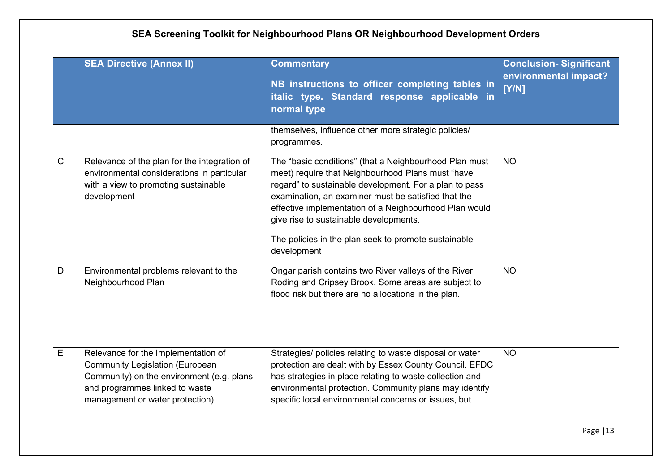|             | <b>SEA Directive (Annex II)</b>                                                                                                                                                                 | <b>Commentary</b><br>NB instructions to officer completing tables in<br>italic type. Standard response applicable in<br>normal type                                                                                                                                                                                                                                                                     | <b>Conclusion-Significant</b><br>environmental impact?<br>[Y/N] |
|-------------|-------------------------------------------------------------------------------------------------------------------------------------------------------------------------------------------------|---------------------------------------------------------------------------------------------------------------------------------------------------------------------------------------------------------------------------------------------------------------------------------------------------------------------------------------------------------------------------------------------------------|-----------------------------------------------------------------|
|             |                                                                                                                                                                                                 | themselves, influence other more strategic policies/<br>programmes.                                                                                                                                                                                                                                                                                                                                     |                                                                 |
| $\mathsf C$ | Relevance of the plan for the integration of<br>environmental considerations in particular<br>with a view to promoting sustainable<br>development                                               | The "basic conditions" (that a Neighbourhood Plan must<br>meet) require that Neighbourhood Plans must "have<br>regard" to sustainable development. For a plan to pass<br>examination, an examiner must be satisfied that the<br>effective implementation of a Neighbourhood Plan would<br>give rise to sustainable developments.<br>The policies in the plan seek to promote sustainable<br>development | <b>NO</b>                                                       |
| D           | Environmental problems relevant to the<br>Neighbourhood Plan                                                                                                                                    | Ongar parish contains two River valleys of the River<br>Roding and Cripsey Brook. Some areas are subject to<br>flood risk but there are no allocations in the plan.                                                                                                                                                                                                                                     | <b>NO</b>                                                       |
| E           | Relevance for the Implementation of<br><b>Community Legislation (European</b><br>Community) on the environment (e.g. plans<br>and programmes linked to waste<br>management or water protection) | Strategies/ policies relating to waste disposal or water<br>protection are dealt with by Essex County Council. EFDC<br>has strategies in place relating to waste collection and<br>environmental protection. Community plans may identify<br>specific local environmental concerns or issues, but                                                                                                       | <b>NO</b>                                                       |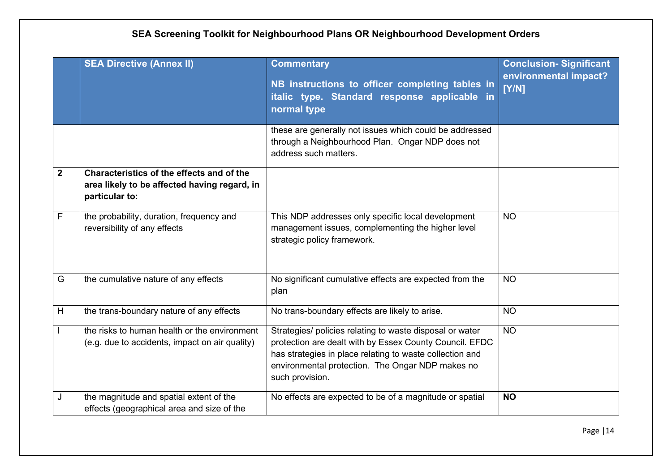|              | <b>SEA Directive (Annex II)</b>                                                                             | <b>Commentary</b><br>NB instructions to officer completing tables in<br>italic type. Standard response applicable in<br>normal type                                                                                                                    | <b>Conclusion-Significant</b><br>environmental impact?<br>[Y/N] |
|--------------|-------------------------------------------------------------------------------------------------------------|--------------------------------------------------------------------------------------------------------------------------------------------------------------------------------------------------------------------------------------------------------|-----------------------------------------------------------------|
|              |                                                                                                             | these are generally not issues which could be addressed<br>through a Neighbourhood Plan. Ongar NDP does not<br>address such matters.                                                                                                                   |                                                                 |
| $\mathbf{2}$ | Characteristics of the effects and of the<br>area likely to be affected having regard, in<br>particular to: |                                                                                                                                                                                                                                                        |                                                                 |
| F            | the probability, duration, frequency and<br>reversibility of any effects                                    | This NDP addresses only specific local development<br>management issues, complementing the higher level<br>strategic policy framework.                                                                                                                 | <b>NO</b>                                                       |
| G            | the cumulative nature of any effects                                                                        | No significant cumulative effects are expected from the<br>plan                                                                                                                                                                                        | <b>NO</b>                                                       |
| H            | the trans-boundary nature of any effects                                                                    | No trans-boundary effects are likely to arise.                                                                                                                                                                                                         | <b>NO</b>                                                       |
|              | the risks to human health or the environment<br>(e.g. due to accidents, impact on air quality)              | Strategies/ policies relating to waste disposal or water<br>protection are dealt with by Essex County Council. EFDC<br>has strategies in place relating to waste collection and<br>environmental protection. The Ongar NDP makes no<br>such provision. | <b>NO</b>                                                       |
| J            | the magnitude and spatial extent of the<br>effects (geographical area and size of the                       | No effects are expected to be of a magnitude or spatial                                                                                                                                                                                                | <b>NO</b>                                                       |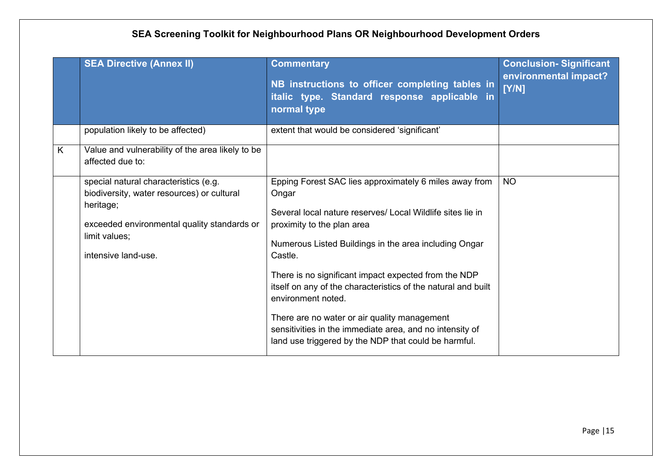|   | <b>SEA Directive (Annex II)</b>                                                                                                                                                         | <b>Commentary</b><br>NB instructions to officer completing tables in<br>italic type. Standard response applicable in<br>normal type                                                                                                                                                                                                                                                                                                                                                                                                                | <b>Conclusion-Significant</b><br>environmental impact?<br>[Y/N] |
|---|-----------------------------------------------------------------------------------------------------------------------------------------------------------------------------------------|----------------------------------------------------------------------------------------------------------------------------------------------------------------------------------------------------------------------------------------------------------------------------------------------------------------------------------------------------------------------------------------------------------------------------------------------------------------------------------------------------------------------------------------------------|-----------------------------------------------------------------|
|   | population likely to be affected)                                                                                                                                                       | extent that would be considered 'significant'                                                                                                                                                                                                                                                                                                                                                                                                                                                                                                      |                                                                 |
| K | Value and vulnerability of the area likely to be<br>affected due to:                                                                                                                    |                                                                                                                                                                                                                                                                                                                                                                                                                                                                                                                                                    |                                                                 |
|   | special natural characteristics (e.g.<br>biodiversity, water resources) or cultural<br>heritage;<br>exceeded environmental quality standards or<br>limit values;<br>intensive land-use. | Epping Forest SAC lies approximately 6 miles away from<br>Ongar<br>Several local nature reserves/ Local Wildlife sites lie in<br>proximity to the plan area<br>Numerous Listed Buildings in the area including Ongar<br>Castle.<br>There is no significant impact expected from the NDP<br>itself on any of the characteristics of the natural and built<br>environment noted.<br>There are no water or air quality management<br>sensitivities in the immediate area, and no intensity of<br>land use triggered by the NDP that could be harmful. | <b>NO</b>                                                       |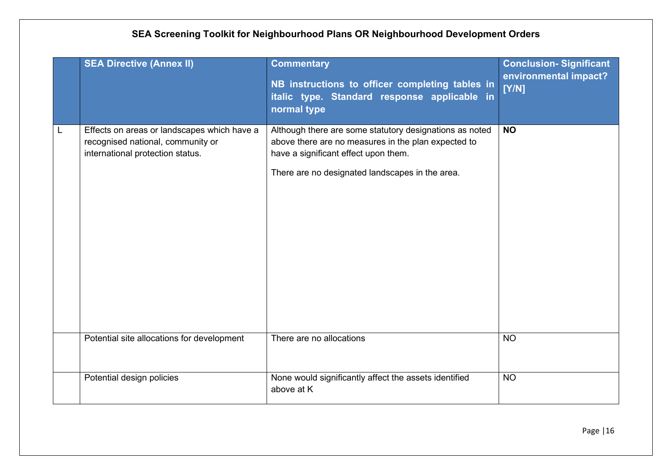|   | <b>SEA Directive (Annex II)</b>                                                                                      | <b>Commentary</b><br>NB instructions to officer completing tables in<br>italic type. Standard response applicable in<br>normal type                                                                       | <b>Conclusion-Significant</b><br>environmental impact?<br>[Y/N] |
|---|----------------------------------------------------------------------------------------------------------------------|-----------------------------------------------------------------------------------------------------------------------------------------------------------------------------------------------------------|-----------------------------------------------------------------|
| L | Effects on areas or landscapes which have a<br>recognised national, community or<br>international protection status. | Although there are some statutory designations as noted<br>above there are no measures in the plan expected to<br>have a significant effect upon them.<br>There are no designated landscapes in the area. | <b>NO</b>                                                       |
|   | Potential site allocations for development                                                                           | There are no allocations                                                                                                                                                                                  | <b>NO</b>                                                       |
|   | Potential design policies                                                                                            | None would significantly affect the assets identified<br>above at K                                                                                                                                       | <b>NO</b>                                                       |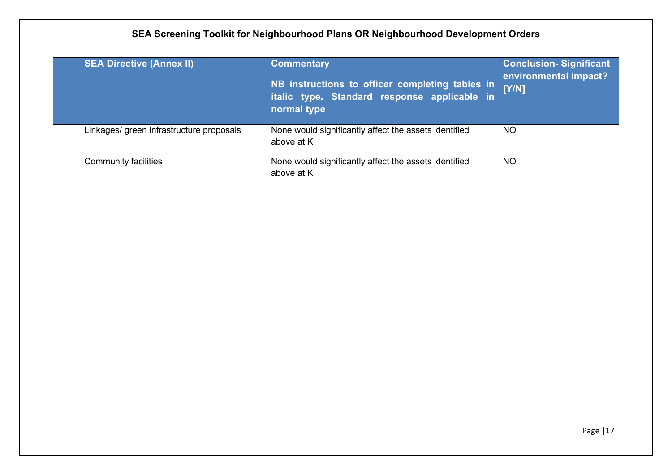| <b>SEA Directive (Annex II)</b>          | <b>Commentary</b><br>NB instructions to officer completing tables in<br>italic type. Standard response applicable in<br>normal type | <b>Conclusion-Significant</b><br>environmental impact?<br>[Y/N] |
|------------------------------------------|-------------------------------------------------------------------------------------------------------------------------------------|-----------------------------------------------------------------|
| Linkages/ green infrastructure proposals | None would significantly affect the assets identified<br>above at K                                                                 | <b>NO</b>                                                       |
| <b>Community facilities</b>              | None would significantly affect the assets identified<br>above at K                                                                 | <b>NO</b>                                                       |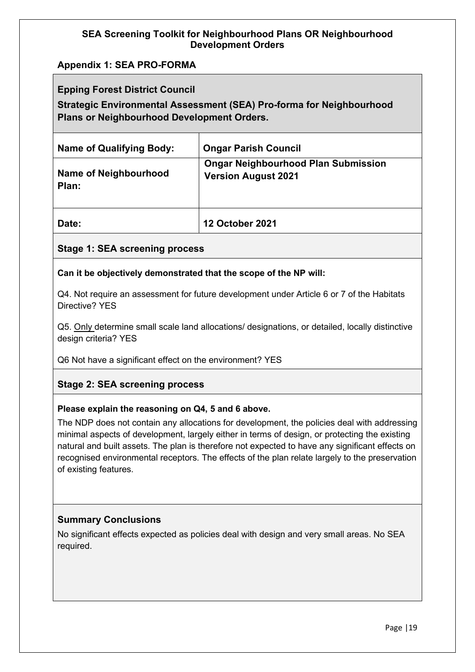### **Appendix 1: SEA PRO-FORMA**

## **Epping Forest District Council Strategic Environmental Assessment (SEA) Pro-forma for Neighbourhood Plans or Neighbourhood Development Orders.**

| <b>Name of Qualifying Body:</b> | <b>Ongar Parish Council</b>                                              |
|---------------------------------|--------------------------------------------------------------------------|
| Name of Neighbourhood<br>Plan:  | <b>Ongar Neighbourhood Plan Submission</b><br><b>Version August 2021</b> |
| Date:                           | <b>12 October 2021</b>                                                   |

### **Stage 1: SEA screening process**

### **Can it be objectively demonstrated that the scope of the NP will:**

Q4. Not require an assessment for future development under Article 6 or 7 of the Habitats Directive? YES

Q5. Only determine small scale land allocations/ designations, or detailed, locally distinctive design criteria? YES

Q6 Not have a significant effect on the environment? YES

### **Stage 2: SEA screening process**

### **Please explain the reasoning on Q4, 5 and 6 above.**

The NDP does not contain any allocations for development, the policies deal with addressing minimal aspects of development, largely either in terms of design, or protecting the existing natural and built assets. The plan is therefore not expected to have any significant effects on recognised environmental receptors. The effects of the plan relate largely to the preservation of existing features.

### **Summary Conclusions**

No significant effects expected as policies deal with design and very small areas. No SEA required.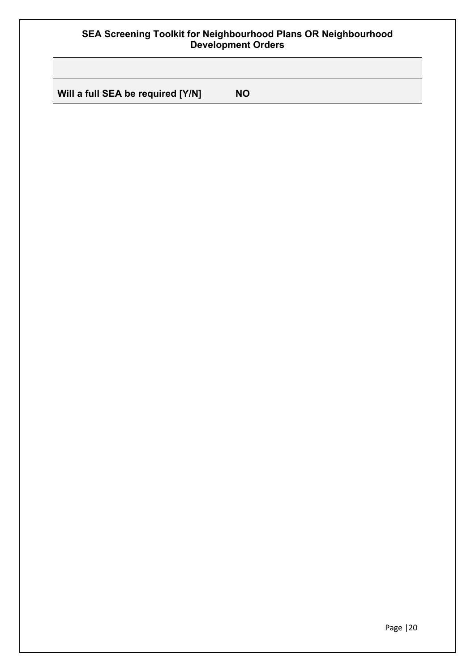Will a full SEA be required [Y/N] NO